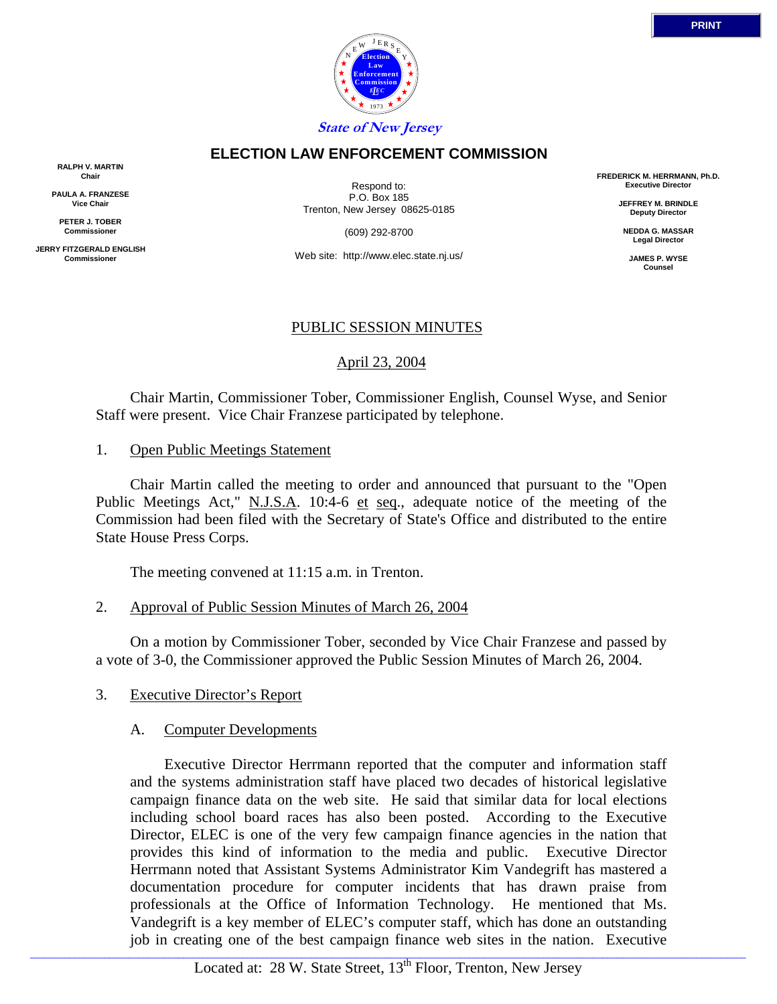

**State of New Jersey**

# **ELECTION LAW ENFORCEMENT COMMISSION**

**RALPH V. MARTIN Chair**

**PAULA A. FRANZESE Vice Chair**

**PETER J. TOBER Commissioner**

**JERRY FITZGERALD ENGLISH Commissioner**

Respond to: P.O. Box 185 Trenton, New Jersey 08625-0185

(609) 292-8700

Web site: http://www.elec.state.nj.us/

#### PUBLIC SESSION MINUTES

# April 23, 2004

 Chair Martin, Commissioner Tober, Commissioner English, Counsel Wyse, and Senior Staff were present. Vice Chair Franzese participated by telephone.

1. Open Public Meetings Statement

 Chair Martin called the meeting to order and announced that pursuant to the "Open Public Meetings Act," N.J.S.A. 10:4-6 et seq., adequate notice of the meeting of the Commission had been filed with the Secretary of State's Office and distributed to the entire State House Press Corps.

The meeting convened at 11:15 a.m. in Trenton.

2. Approval of Public Session Minutes of March 26, 2004

 On a motion by Commissioner Tober, seconded by Vice Chair Franzese and passed by a vote of 3-0, the Commissioner approved the Public Session Minutes of March 26, 2004.

## 3. Executive Director's Report

## A. Computer Developments

 Executive Director Herrmann reported that the computer and information staff and the systems administration staff have placed two decades of historical legislative campaign finance data on the web site. He said that similar data for local elections including school board races has also been posted. According to the Executive Director, ELEC is one of the very few campaign finance agencies in the nation that provides this kind of information to the media and public. Executive Director Herrmann noted that Assistant Systems Administrator Kim Vandegrift has mastered a documentation procedure for computer incidents that has drawn praise from professionals at the Office of Information Technology. He mentioned that Ms. Vandegrift is a key member of ELEC's computer staff, which has done an outstanding job in creating one of the best campaign finance web sites in the nation. Executive

**FREDERICK M. HERRMANN, Ph.D. Executive Director**

**JEFFREY M. BRINDLE Deputy Director**

**NEDDA G. MASSAR Legal Director**

> **JAMES P. WYSE Counsel**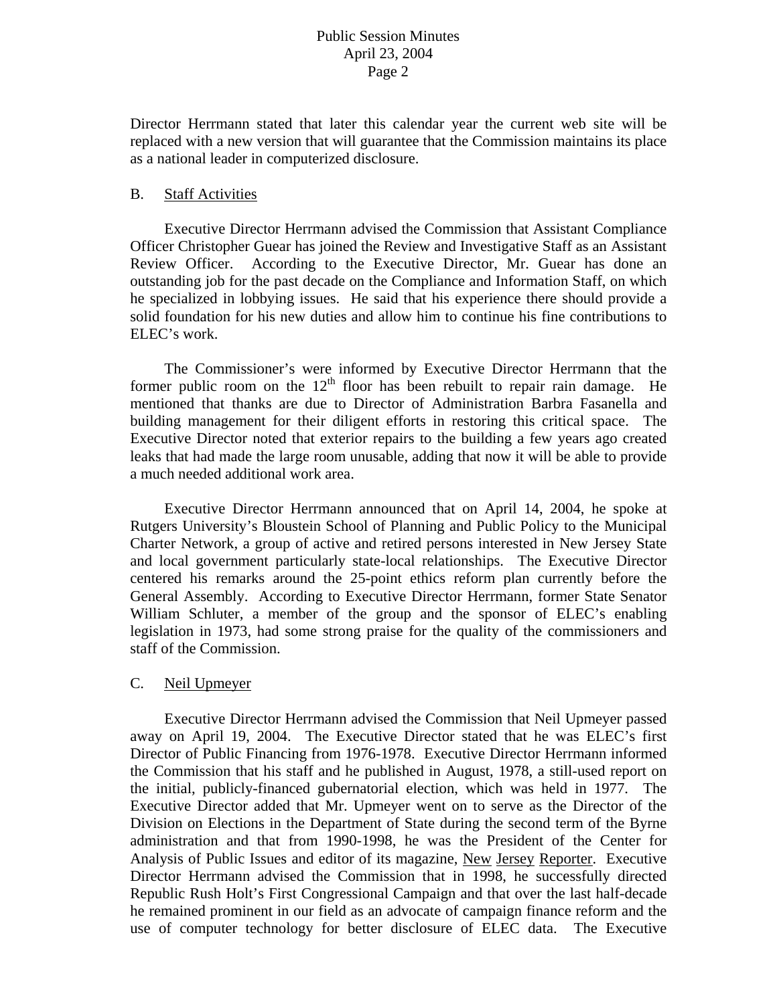Director Herrmann stated that later this calendar year the current web site will be replaced with a new version that will guarantee that the Commission maintains its place as a national leader in computerized disclosure.

#### B. Staff Activities

 Executive Director Herrmann advised the Commission that Assistant Compliance Officer Christopher Guear has joined the Review and Investigative Staff as an Assistant Review Officer. According to the Executive Director, Mr. Guear has done an outstanding job for the past decade on the Compliance and Information Staff, on which he specialized in lobbying issues. He said that his experience there should provide a solid foundation for his new duties and allow him to continue his fine contributions to ELEC's work.

 The Commissioner's were informed by Executive Director Herrmann that the former public room on the  $12<sup>th</sup>$  floor has been rebuilt to repair rain damage. He mentioned that thanks are due to Director of Administration Barbra Fasanella and building management for their diligent efforts in restoring this critical space. The Executive Director noted that exterior repairs to the building a few years ago created leaks that had made the large room unusable, adding that now it will be able to provide a much needed additional work area.

 Executive Director Herrmann announced that on April 14, 2004, he spoke at Rutgers University's Bloustein School of Planning and Public Policy to the Municipal Charter Network, a group of active and retired persons interested in New Jersey State and local government particularly state-local relationships. The Executive Director centered his remarks around the 25-point ethics reform plan currently before the General Assembly. According to Executive Director Herrmann, former State Senator William Schluter, a member of the group and the sponsor of ELEC's enabling legislation in 1973, had some strong praise for the quality of the commissioners and staff of the Commission.

## C. Neil Upmeyer

 Executive Director Herrmann advised the Commission that Neil Upmeyer passed away on April 19, 2004. The Executive Director stated that he was ELEC's first Director of Public Financing from 1976-1978. Executive Director Herrmann informed the Commission that his staff and he published in August, 1978, a still-used report on the initial, publicly-financed gubernatorial election, which was held in 1977. The Executive Director added that Mr. Upmeyer went on to serve as the Director of the Division on Elections in the Department of State during the second term of the Byrne administration and that from 1990-1998, he was the President of the Center for Analysis of Public Issues and editor of its magazine, New Jersey Reporter. Executive Director Herrmann advised the Commission that in 1998, he successfully directed Republic Rush Holt's First Congressional Campaign and that over the last half-decade he remained prominent in our field as an advocate of campaign finance reform and the use of computer technology for better disclosure of ELEC data. The Executive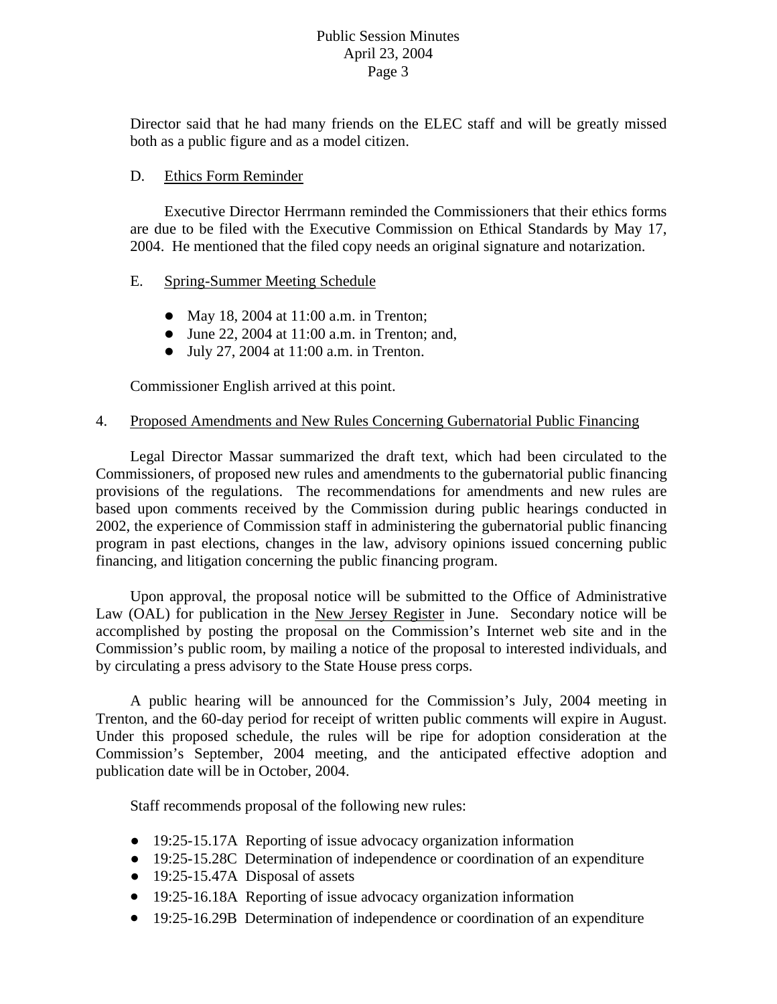Director said that he had many friends on the ELEC staff and will be greatly missed both as a public figure and as a model citizen.

### D. Ethics Form Reminder

Executive Director Herrmann reminded the Commissioners that their ethics forms are due to be filed with the Executive Commission on Ethical Standards by May 17, 2004. He mentioned that the filed copy needs an original signature and notarization.

#### E. Spring-Summer Meeting Schedule

- May 18, 2004 at  $11:00$  a.m. in Trenton;
- $\bullet$  June 22, 2004 at 11:00 a.m. in Trenton; and,
- $\bullet$  July 27, 2004 at 11:00 a.m. in Trenton.

Commissioner English arrived at this point.

#### 4. Proposed Amendments and New Rules Concerning Gubernatorial Public Financing

 Legal Director Massar summarized the draft text, which had been circulated to the Commissioners, of proposed new rules and amendments to the gubernatorial public financing provisions of the regulations. The recommendations for amendments and new rules are based upon comments received by the Commission during public hearings conducted in 2002, the experience of Commission staff in administering the gubernatorial public financing program in past elections, changes in the law, advisory opinions issued concerning public financing, and litigation concerning the public financing program.

 Upon approval, the proposal notice will be submitted to the Office of Administrative Law (OAL) for publication in the New Jersey Register in June. Secondary notice will be accomplished by posting the proposal on the Commission's Internet web site and in the Commission's public room, by mailing a notice of the proposal to interested individuals, and by circulating a press advisory to the State House press corps.

 A public hearing will be announced for the Commission's July, 2004 meeting in Trenton, and the 60-day period for receipt of written public comments will expire in August. Under this proposed schedule, the rules will be ripe for adoption consideration at the Commission's September, 2004 meeting, and the anticipated effective adoption and publication date will be in October, 2004.

Staff recommends proposal of the following new rules:

- 19:25-15.17A Reporting of issue advocacy organization information
- 19:25-15.28C Determination of independence or coordination of an expenditure
- 19:25-15.47A Disposal of assets
- 19:25-16.18A Reporting of issue advocacy organization information
- 19:25-16.29B Determination of independence or coordination of an expenditure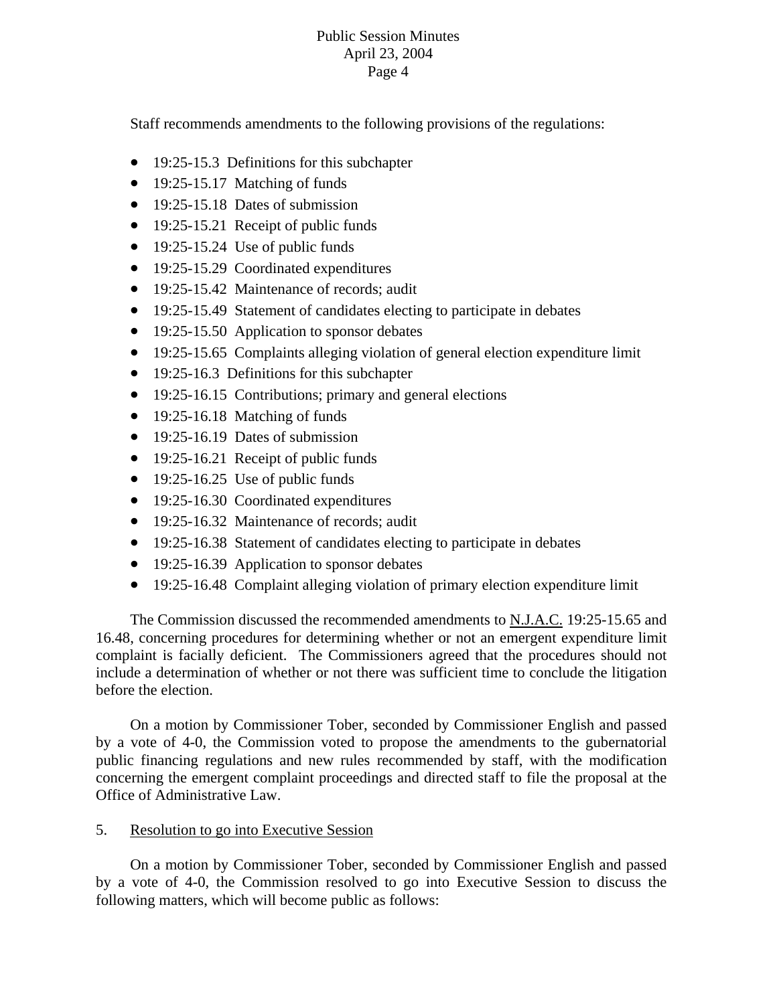Staff recommends amendments to the following provisions of the regulations:

- $\bullet$  19:25-15.3 Definitions for this subchapter
- 19:25-15.17 Matching of funds
- 19:25-15.18 Dates of submission
- 19:25-15.21 Receipt of public funds
- 19:25-15.24 Use of public funds
- 19:25-15.29 Coordinated expenditures
- 19:25-15.42 Maintenance of records; audit
- 19:25-15.49 Statement of candidates electing to participate in debates
- 19:25-15.50 Application to sponsor debates
- 19:25-15.65 Complaints alleging violation of general election expenditure limit
- $\bullet$  19:25-16.3 Definitions for this subchapter
- $\bullet$  19:25-16.15 Contributions; primary and general elections
- 19:25-16.18 Matching of funds
- 19:25-16.19 Dates of submission
- 19:25-16.21 Receipt of public funds
- 19:25-16.25 Use of public funds
- 19:25-16.30 Coordinated expenditures
- 19:25-16.32 Maintenance of records; audit
- 19:25-16.38 Statement of candidates electing to participate in debates
- 19:25-16.39 Application to sponsor debates
- 19:25-16.48 Complaint alleging violation of primary election expenditure limit

The Commission discussed the recommended amendments to N.J.A.C. 19:25-15.65 and 16.48, concerning procedures for determining whether or not an emergent expenditure limit complaint is facially deficient. The Commissioners agreed that the procedures should not include a determination of whether or not there was sufficient time to conclude the litigation before the election.

On a motion by Commissioner Tober, se conded by Commissioner English and passed by a vote of 4-0, the Commission voted to propose the amendments to the gubernatorial public financing regulations and new rules recommended by staff, with the modification concerning the emergent complaint proceedings and directed staff to file the proposal at the Office of Administrative Law.

5. Resolution to go into Executive Session

On a motion by Commissioner Tober, seconded by Commissioner English and passed by a vote of 4-0, the Commission resolved to go into Executive Session to discuss the following matters, which will become public as follows: